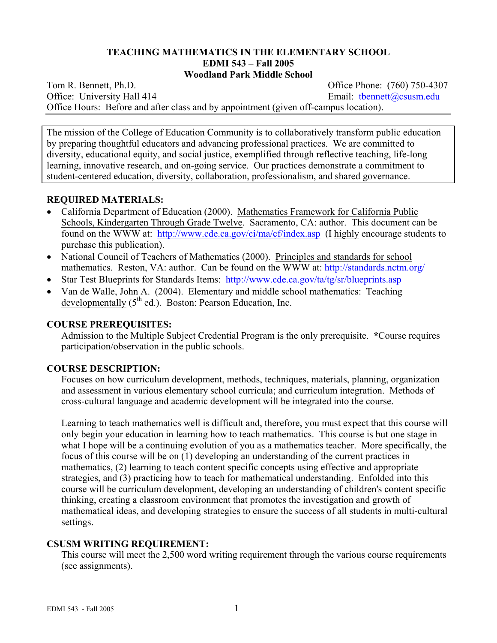### **TEACHING MATHEMATICS IN THE ELEMENTARY SCHOOL EDMI 543 – Fall 2005 Woodland Park Middle School**

Tom R. Bennett, Ph.D. *Commercial Contract Contract Contract Contract Contract Contract Contract Contract Contract Contract Contract Contract Contract Contract Contract Contract Contract Contract Contract Contract Contrac* Office: University Hall 414 Email: thennett@csusm.edu Office Hours: Before and after class and by appointment (given off-campus location).

The mission of the College of Education Community is to collaboratively transform public education by preparing thoughtful educators and advancing professional practices. We are committed to diversity, educational equity, and social justice, exemplified through reflective teaching, life-long learning, innovative research, and on-going service. Our practices demonstrate a commitment to student-centered education, diversity, collaboration, professionalism, and shared governance.

# **REQUIRED MATERIALS:**

- California Department of Education (2000). Mathematics Framework for California Public Schools, Kindergarten Through Grade Twelve. Sacramento, CA: author. This document can be found on the WWW at: http://www.cde.ca.gov/ci/ma/cf/index.asp (I highly encourage students to purchase this publication).
- National Council of Teachers of Mathematics (2000). Principles and standards for school mathematics. Reston, VA: author. Can be found on the WWW at: http://standards.nctm.org/
- Star Test Blueprints for Standards Items: http://www.cde.ca.gov/ta/tg/sr/blueprints.asp
- Van de Walle, John A. (2004). Elementary and middle school mathematics: Teaching developmentally  $(5<sup>th</sup>$  ed.). Boston: Pearson Education, Inc.

## **COURSE PREREQUISITES:**

Admission to the Multiple Subject Credential Program is the only prerequisite. **\***Course requires participation/observation in the public schools.

# **COURSE DESCRIPTION:**

Focuses on how curriculum development, methods, techniques, materials, planning, organization and assessment in various elementary school curricula; and curriculum integration. Methods of cross-cultural language and academic development will be integrated into the course.

Learning to teach mathematics well is difficult and, therefore, you must expect that this course will only begin your education in learning how to teach mathematics. This course is but one stage in what I hope will be a continuing evolution of you as a mathematics teacher. More specifically, the focus of this course will be on (1) developing an understanding of the current practices in mathematics, (2) learning to teach content specific concepts using effective and appropriate strategies, and (3) practicing how to teach for mathematical understanding. Enfolded into this course will be curriculum development, developing an understanding of children's content specific thinking, creating a classroom environment that promotes the investigation and growth of mathematical ideas, and developing strategies to ensure the success of all students in multi-cultural settings.

# **CSUSM WRITING REQUIREMENT:**

This course will meet the 2,500 word writing requirement through the various course requirements (see assignments).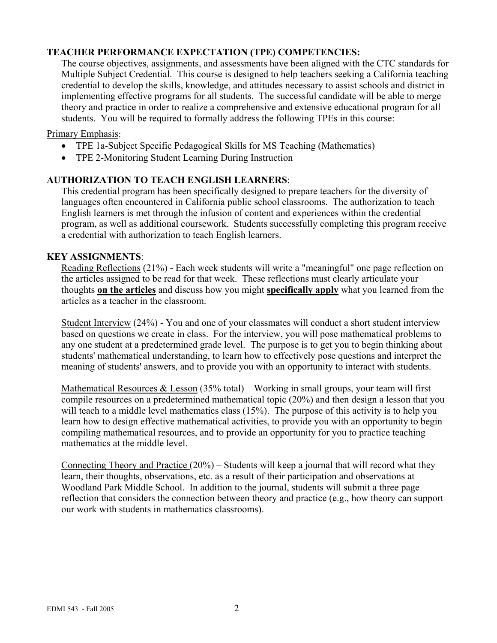# **TEACHER PERFORMANCE EXPECTATION (TPE) COMPETENCIES:**

The course objectives, assignments, and assessments have been aligned with the CTC standards for Multiple Subject Credential. This course is designed to help teachers seeking a California teaching credential to develop the skills, knowledge, and attitudes necessary to assist schools and district in implementing effective programs for all students. The successful candidate will be able to merge theory and practice in order to realize a comprehensive and extensive educational program for all students. You will be required to formally address the following TPEs in this course:

## Primary Emphasis:

- TPE 1a-Subject Specific Pedagogical Skills for MS Teaching (Mathematics)
- TPE 2-Monitoring Student Learning During Instruction

### **AUTHORIZATION TO TEACH ENGLISH LEARNERS**:

This credential program has been specifically designed to prepare teachers for the diversity of languages often encountered in California public school classrooms. The authorization to teach English learners is met through the infusion of content and experiences within the credential program, as well as additional coursework. Students successfully completing this program receive a credential with authorization to teach English learners.

### **KEY ASSIGNMENTS**:

Reading Reflections (21%) - Each week students will write a "meaningful" one page reflection on the articles assigned to be read for that week. These reflections must clearly articulate your thoughts **on the articles** and discuss how you might **specifically apply** what you learned from the articles as a teacher in the classroom.

Student Interview (24%) - You and one of your classmates will conduct a short student interview based on questions we create in class. For the interview, you will pose mathematical problems to any one student at a predetermined grade level. The purpose is to get you to begin thinking about students' mathematical understanding, to learn how to effectively pose questions and interpret the meaning of students' answers, and to provide you with an opportunity to interact with students.

Mathematical Resources  $&$  Lesson (35% total) – Working in small groups, your team will first compile resources on a predetermined mathematical topic (20%) and then design a lesson that you will teach to a middle level mathematics class (15%). The purpose of this activity is to help you learn how to design effective mathematical activities, to provide you with an opportunity to begin compiling mathematical resources, and to provide an opportunity for you to practice teaching mathematics at the middle level.

Connecting Theory and Practice (20%) – Students will keep a journal that will record what they learn, their thoughts, observations, etc. as a result of their participation and observations at Woodland Park Middle School. In addition to the journal, students will submit a three page reflection that considers the connection between theory and practice (e.g., how theory can support our work with students in mathematics classrooms).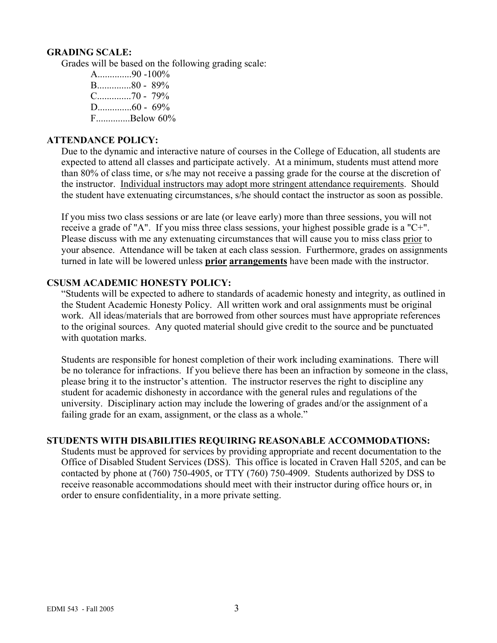#### **GRADING SCALE:**

Grades will be based on the following grading scale:

A..............90 -100% B..............80 - 89% C..............70 - 79% D..............60 - 69% F. Below 60%

### **ATTENDANCE POLICY:**

Due to the dynamic and interactive nature of courses in the College of Education, all students are expected to attend all classes and participate actively. At a minimum, students must attend more than 80% of class time, or s/he may not receive a passing grade for the course at the discretion of the instructor. Individual instructors may adopt more stringent attendance requirements. Should the student have extenuating circumstances, s/he should contact the instructor as soon as possible.

If you miss two class sessions or are late (or leave early) more than three sessions, you will not receive a grade of "A". If you miss three class sessions, your highest possible grade is a "C+". Please discuss with me any extenuating circumstances that will cause you to miss class prior to your absence. Attendance will be taken at each class session. Furthermore, grades on assignments turned in late will be lowered unless **prior arrangements** have been made with the instructor.

### **CSUSM ACADEMIC HONESTY POLICY:**

"Students will be expected to adhere to standards of academic honesty and integrity, as outlined in the Student Academic Honesty Policy. All written work and oral assignments must be original work. All ideas/materials that are borrowed from other sources must have appropriate references to the original sources. Any quoted material should give credit to the source and be punctuated with quotation marks.

Students are responsible for honest completion of their work including examinations. There will be no tolerance for infractions. If you believe there has been an infraction by someone in the class, please bring it to the instructor's attention. The instructor reserves the right to discipline any student for academic dishonesty in accordance with the general rules and regulations of the university. Disciplinary action may include the lowering of grades and/or the assignment of a failing grade for an exam, assignment, or the class as a whole."

#### **STUDENTS WITH DISABILITIES REQUIRING REASONABLE ACCOMMODATIONS:**

Students must be approved for services by providing appropriate and recent documentation to the Office of Disabled Student Services (DSS). This office is located in Craven Hall 5205, and can be contacted by phone at (760) 750-4905, or TTY (760) 750-4909. Students authorized by DSS to receive reasonable accommodations should meet with their instructor during office hours or, in order to ensure confidentiality, in a more private setting.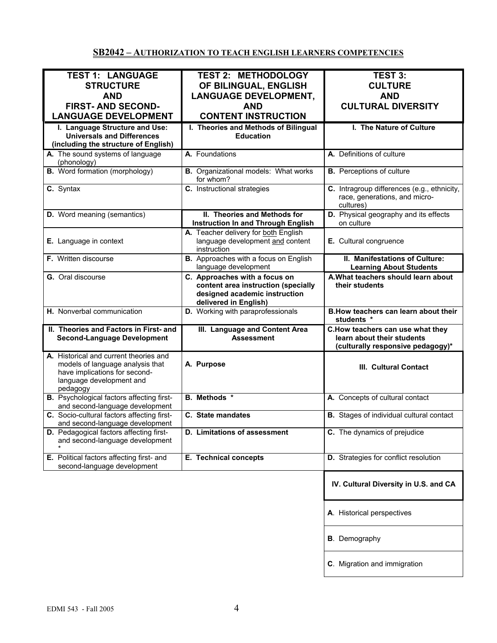# **SB2042 – AUTHORIZATION TO TEACH ENGLISH LEARNERS COMPETENCIES**

| <b>TEST 1: LANGUAGE</b>                          | <b>TEST 2: METHODOLOGY</b>                   | <b>TEST 3:</b>                                  |
|--------------------------------------------------|----------------------------------------------|-------------------------------------------------|
| <b>STRUCTURE</b>                                 | OF BILINGUAL, ENGLISH                        | <b>CULTURE</b>                                  |
|                                                  |                                              |                                                 |
| <b>AND</b>                                       | <b>LANGUAGE DEVELOPMENT,</b>                 | <b>AND</b>                                      |
| <b>FIRST- AND SECOND-</b>                        | <b>AND</b>                                   | <b>CULTURAL DIVERSITY</b>                       |
| <b>LANGUAGE DEVELOPMENT</b>                      | <b>CONTENT INSTRUCTION</b>                   |                                                 |
|                                                  |                                              |                                                 |
| I. Language Structure and Use:                   | I. Theories and Methods of Bilingual         | I. The Nature of Culture                        |
| <b>Universals and Differences</b>                | <b>Education</b>                             |                                                 |
| (including the structure of English)             |                                              |                                                 |
| A. The sound systems of language                 | A. Foundations                               | A. Definitions of culture                       |
| (phonology)                                      |                                              |                                                 |
|                                                  |                                              |                                                 |
| <b>B.</b> Word formation (morphology)            | <b>B.</b> Organizational models: What works  | <b>B.</b> Perceptions of culture                |
|                                                  | for whom?                                    |                                                 |
| C. Syntax                                        | C. Instructional strategies                  | C. Intragroup differences (e.g., ethnicity,     |
|                                                  |                                              | race, generations, and micro-                   |
|                                                  |                                              | cultures)                                       |
|                                                  | II. Theories and Methods for                 | D. Physical geography and its effects           |
| D. Word meaning (semantics)                      |                                              |                                                 |
|                                                  | <b>Instruction In and Through English</b>    | on culture                                      |
|                                                  | A. Teacher delivery for both English         |                                                 |
| E. Language in context                           | language development and content             | E. Cultural congruence                          |
|                                                  | instruction                                  |                                                 |
| <b>F.</b> Written discourse                      | <b>B.</b> Approaches with a focus on English | II. Manifestations of Culture:                  |
|                                                  | language development                         | <b>Learning About Students</b>                  |
|                                                  |                                              |                                                 |
| G. Oral discourse                                | C. Approaches with a focus on                | A. What teachers should learn about             |
|                                                  | content area instruction (specially          | their students                                  |
|                                                  | designed academic instruction                |                                                 |
|                                                  | delivered in English)                        |                                                 |
| H. Nonverbal communication                       | D. Working with paraprofessionals            | B. How teachers can learn about their           |
|                                                  |                                              | students *                                      |
| II. Theories and Factors in First- and           |                                              |                                                 |
|                                                  | III. Language and Content Area               | C.How teachers can use what they                |
| <b>Second-Language Development</b>               | <b>Assessment</b>                            | learn about their students                      |
|                                                  |                                              | (culturally responsive pedagogy)*               |
| A. Historical and current theories and           |                                              |                                                 |
| models of language analysis that                 | A. Purpose                                   | III. Cultural Contact                           |
| have implications for second-                    |                                              |                                                 |
| language development and                         |                                              |                                                 |
|                                                  |                                              |                                                 |
| pedagogy                                         | <b>B.</b> Methods *                          |                                                 |
| <b>B.</b> Psychological factors affecting first- |                                              | A. Concepts of cultural contact                 |
| and second-language development                  |                                              |                                                 |
| C. Socio-cultural factors affecting first-       | C. State mandates                            | <b>B.</b> Stages of individual cultural contact |
| and second-language development                  |                                              |                                                 |
| D. Pedagogical factors affecting first-          | <b>D.</b> Limitations of assessment          | C. The dynamics of prejudice                    |
| and second-language development                  |                                              |                                                 |
|                                                  |                                              |                                                 |
| E. Political factors affecting first- and        | E. Technical concepts                        | D. Strategies for conflict resolution           |
| second-language development                      |                                              |                                                 |
|                                                  |                                              |                                                 |
|                                                  |                                              |                                                 |
|                                                  |                                              | IV. Cultural Diversity in U.S. and CA           |
|                                                  |                                              |                                                 |
|                                                  |                                              |                                                 |
|                                                  |                                              |                                                 |
|                                                  |                                              | A. Historical perspectives                      |
|                                                  |                                              |                                                 |
|                                                  |                                              |                                                 |
|                                                  |                                              | <b>B</b> . Demography                           |
|                                                  |                                              |                                                 |
|                                                  |                                              |                                                 |
|                                                  |                                              |                                                 |
|                                                  |                                              | C. Migration and immigration                    |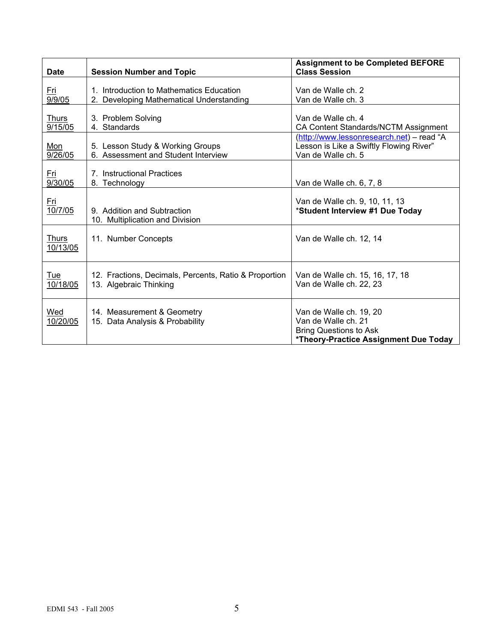| <b>Date</b>              | <b>Session Number and Topic</b>                                                      | <b>Assignment to be Completed BEFORE</b><br><b>Class Session</b>                                                         |
|--------------------------|--------------------------------------------------------------------------------------|--------------------------------------------------------------------------------------------------------------------------|
| <u>Fri</u><br>9/9/05     | 1. Introduction to Mathematics Education<br>2. Developing Mathematical Understanding | Van de Walle ch. 2<br>Van de Walle ch. 3                                                                                 |
| <b>Thurs</b><br>9/15/05  | 3. Problem Solving<br>4. Standards                                                   | Van de Walle ch. 4<br>CA Content Standards/NCTM Assignment                                                               |
| <u>Mon</u><br>9/26/05    | 5. Lesson Study & Working Groups<br>6. Assessment and Student Interview              | (http://www.lessonresearch.net) - read "A<br>Lesson is Like a Swiftly Flowing River"<br>Van de Walle ch. 5               |
| Fri<br>9/30/05           | 7. Instructional Practices<br>8. Technology                                          | Van de Walle ch. 6, 7, 8                                                                                                 |
| <u>Fri</u><br>10/7/05    | 9. Addition and Subtraction<br>10. Multiplication and Division                       | Van de Walle ch. 9, 10, 11, 13<br>*Student Interview #1 Due Today                                                        |
| <b>Thurs</b><br>10/13/05 | 11. Number Concepts                                                                  | Van de Walle ch. 12, 14                                                                                                  |
| <u>Tue</u><br>10/18/05   | 12. Fractions, Decimals, Percents, Ratio & Proportion<br>13. Algebraic Thinking      | Van de Walle ch. 15, 16, 17, 18<br>Van de Walle ch. 22, 23                                                               |
| Wed<br>10/20/05          | 14. Measurement & Geometry<br>15. Data Analysis & Probability                        | Van de Walle ch. 19, 20<br>Van de Walle ch. 21<br><b>Bring Questions to Ask</b><br>*Theory-Practice Assignment Due Today |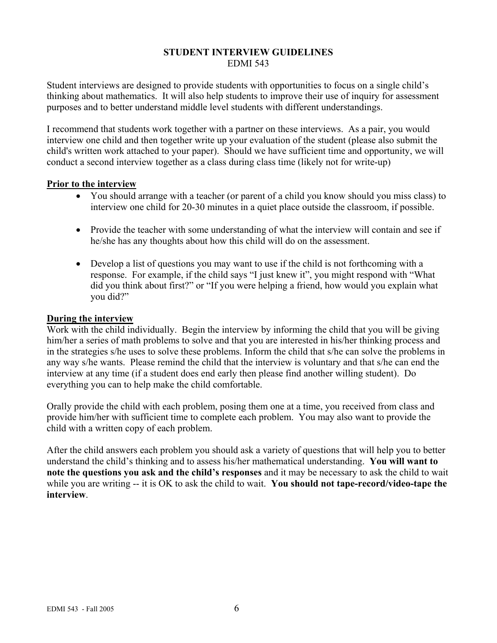#### **STUDENT INTERVIEW GUIDELINES**  EDMI 543

Student interviews are designed to provide students with opportunities to focus on a single child's thinking about mathematics. It will also help students to improve their use of inquiry for assessment purposes and to better understand middle level students with different understandings.

I recommend that students work together with a partner on these interviews. As a pair, you would interview one child and then together write up your evaluation of the student (please also submit the child's written work attached to your paper). Should we have sufficient time and opportunity, we will conduct a second interview together as a class during class time (likely not for write-up)

#### **Prior to the interview**

- You should arrange with a teacher (or parent of a child you know should you miss class) to interview one child for 20-30 minutes in a quiet place outside the classroom, if possible.
- Provide the teacher with some understanding of what the interview will contain and see if he/she has any thoughts about how this child will do on the assessment.
- Develop a list of questions you may want to use if the child is not forthcoming with a response. For example, if the child says "I just knew it", you might respond with "What did you think about first?" or "If you were helping a friend, how would you explain what you did?"

#### **During the interview**

Work with the child individually. Begin the interview by informing the child that you will be giving him/her a series of math problems to solve and that you are interested in his/her thinking process and in the strategies s/he uses to solve these problems. Inform the child that s/he can solve the problems in any way s/he wants. Please remind the child that the interview is voluntary and that s/he can end the interview at any time (if a student does end early then please find another willing student). Do everything you can to help make the child comfortable.

Orally provide the child with each problem, posing them one at a time, you received from class and provide him/her with sufficient time to complete each problem. You may also want to provide the child with a written copy of each problem.

After the child answers each problem you should ask a variety of questions that will help you to better understand the child's thinking and to assess his/her mathematical understanding. **You will want to note the questions you ask and the child's responses** and it may be necessary to ask the child to wait while you are writing -- it is OK to ask the child to wait. **You should not tape-record/video-tape the interview**.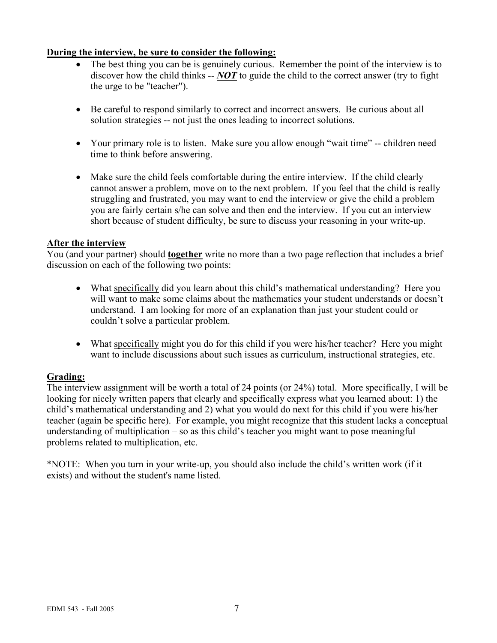### **During the interview, be sure to consider the following:**

- The best thing you can be is genuinely curious. Remember the point of the interview is to discover how the child thinks -- *NOT* to guide the child to the correct answer (try to fight the urge to be "teacher").
- Be careful to respond similarly to correct and incorrect answers. Be curious about all solution strategies -- not just the ones leading to incorrect solutions.
- Your primary role is to listen. Make sure you allow enough "wait time" -- children need time to think before answering.
- Make sure the child feels comfortable during the entire interview. If the child clearly cannot answer a problem, move on to the next problem. If you feel that the child is really struggling and frustrated, you may want to end the interview or give the child a problem you are fairly certain s/he can solve and then end the interview. If you cut an interview short because of student difficulty, be sure to discuss your reasoning in your write-up.

### **After the interview**

You (and your partner) should **together** write no more than a two page reflection that includes a brief discussion on each of the following two points:

- What specifically did you learn about this child's mathematical understanding? Here you will want to make some claims about the mathematics your student understands or doesn't understand. I am looking for more of an explanation than just your student could or couldn't solve a particular problem.
- What specifically might you do for this child if you were his/her teacher? Here you might want to include discussions about such issues as curriculum, instructional strategies, etc.

### **Grading:**

The interview assignment will be worth a total of 24 points (or 24%) total. More specifically, I will be looking for nicely written papers that clearly and specifically express what you learned about: 1) the child's mathematical understanding and 2) what you would do next for this child if you were his/her teacher (again be specific here). For example, you might recognize that this student lacks a conceptual understanding of multiplication – so as this child's teacher you might want to pose meaningful problems related to multiplication, etc.

\*NOTE: When you turn in your write-up, you should also include the child's written work (if it exists) and without the student's name listed.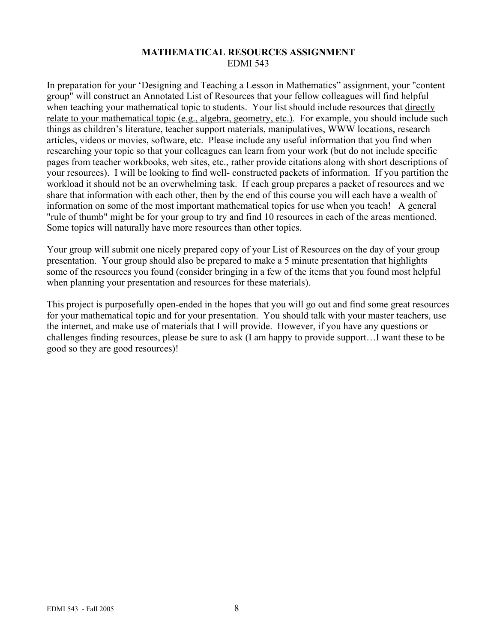# **MATHEMATICAL RESOURCES ASSIGNMENT**  EDMI 543

In preparation for your 'Designing and Teaching a Lesson in Mathematics" assignment, your "content group" will construct an Annotated List of Resources that your fellow colleagues will find helpful when teaching your mathematical topic to students. Your list should include resources that directly relate to your mathematical topic (e.g., algebra, geometry, etc.). For example, you should include such things as children's literature, teacher support materials, manipulatives, WWW locations, research articles, videos or movies, software, etc. Please include any useful information that you find when researching your topic so that your colleagues can learn from your work (but do not include specific pages from teacher workbooks, web sites, etc., rather provide citations along with short descriptions of your resources). I will be looking to find well- constructed packets of information. If you partition the workload it should not be an overwhelming task. If each group prepares a packet of resources and we share that information with each other, then by the end of this course you will each have a wealth of information on some of the most important mathematical topics for use when you teach! A general "rule of thumb" might be for your group to try and find 10 resources in each of the areas mentioned. Some topics will naturally have more resources than other topics.

Your group will submit one nicely prepared copy of your List of Resources on the day of your group presentation. Your group should also be prepared to make a 5 minute presentation that highlights some of the resources you found (consider bringing in a few of the items that you found most helpful when planning your presentation and resources for these materials).

This project is purposefully open-ended in the hopes that you will go out and find some great resources for your mathematical topic and for your presentation. You should talk with your master teachers, use the internet, and make use of materials that I will provide. However, if you have any questions or challenges finding resources, please be sure to ask (I am happy to provide support…I want these to be good so they are good resources)!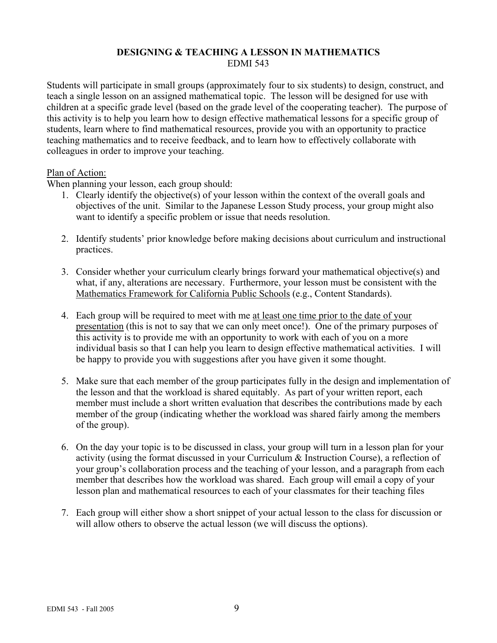# **DESIGNING & TEACHING A LESSON IN MATHEMATICS**  EDMI 543

Students will participate in small groups (approximately four to six students) to design, construct, and teach a single lesson on an assigned mathematical topic. The lesson will be designed for use with children at a specific grade level (based on the grade level of the cooperating teacher). The purpose of this activity is to help you learn how to design effective mathematical lessons for a specific group of students, learn where to find mathematical resources, provide you with an opportunity to practice teaching mathematics and to receive feedback, and to learn how to effectively collaborate with colleagues in order to improve your teaching.

### Plan of Action:

When planning your lesson, each group should:

- 1. Clearly identify the objective(s) of your lesson within the context of the overall goals and objectives of the unit. Similar to the Japanese Lesson Study process, your group might also want to identify a specific problem or issue that needs resolution.
- 2. Identify students' prior knowledge before making decisions about curriculum and instructional practices.
- 3. Consider whether your curriculum clearly brings forward your mathematical objective(s) and what, if any, alterations are necessary. Furthermore, your lesson must be consistent with the Mathematics Framework for California Public Schools (e.g., Content Standards).
- 4. Each group will be required to meet with me at least one time prior to the date of your presentation (this is not to say that we can only meet once!). One of the primary purposes of this activity is to provide me with an opportunity to work with each of you on a more individual basis so that I can help you learn to design effective mathematical activities. I will be happy to provide you with suggestions after you have given it some thought.
- 5. Make sure that each member of the group participates fully in the design and implementation of the lesson and that the workload is shared equitably. As part of your written report, each member must include a short written evaluation that describes the contributions made by each member of the group (indicating whether the workload was shared fairly among the members of the group).
- 6. On the day your topic is to be discussed in class, your group will turn in a lesson plan for your activity (using the format discussed in your Curriculum & Instruction Course), a reflection of your group's collaboration process and the teaching of your lesson, and a paragraph from each member that describes how the workload was shared. Each group will email a copy of your lesson plan and mathematical resources to each of your classmates for their teaching files
- 7. Each group will either show a short snippet of your actual lesson to the class for discussion or will allow others to observe the actual lesson (we will discuss the options).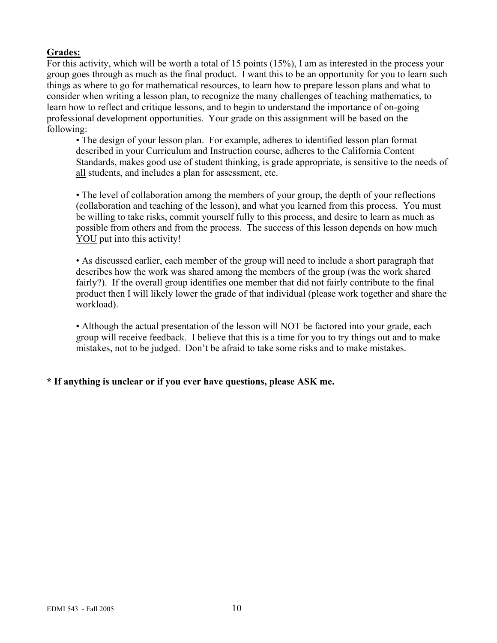# **Grades:**

For this activity, which will be worth a total of 15 points (15%), I am as interested in the process your group goes through as much as the final product. I want this to be an opportunity for you to learn such things as where to go for mathematical resources, to learn how to prepare lesson plans and what to consider when writing a lesson plan, to recognize the many challenges of teaching mathematics, to learn how to reflect and critique lessons, and to begin to understand the importance of on-going professional development opportunities. Your grade on this assignment will be based on the following:

• The design of your lesson plan. For example, adheres to identified lesson plan format described in your Curriculum and Instruction course, adheres to the California Content Standards, makes good use of student thinking, is grade appropriate, is sensitive to the needs of all students, and includes a plan for assessment, etc.

• The level of collaboration among the members of your group, the depth of your reflections (collaboration and teaching of the lesson), and what you learned from this process. You must be willing to take risks, commit yourself fully to this process, and desire to learn as much as possible from others and from the process. The success of this lesson depends on how much YOU put into this activity!

• As discussed earlier, each member of the group will need to include a short paragraph that describes how the work was shared among the members of the group (was the work shared fairly?). If the overall group identifies one member that did not fairly contribute to the final product then I will likely lower the grade of that individual (please work together and share the workload).

• Although the actual presentation of the lesson will NOT be factored into your grade, each group will receive feedback. I believe that this is a time for you to try things out and to make mistakes, not to be judged. Don't be afraid to take some risks and to make mistakes.

# **\* If anything is unclear or if you ever have questions, please ASK me.**